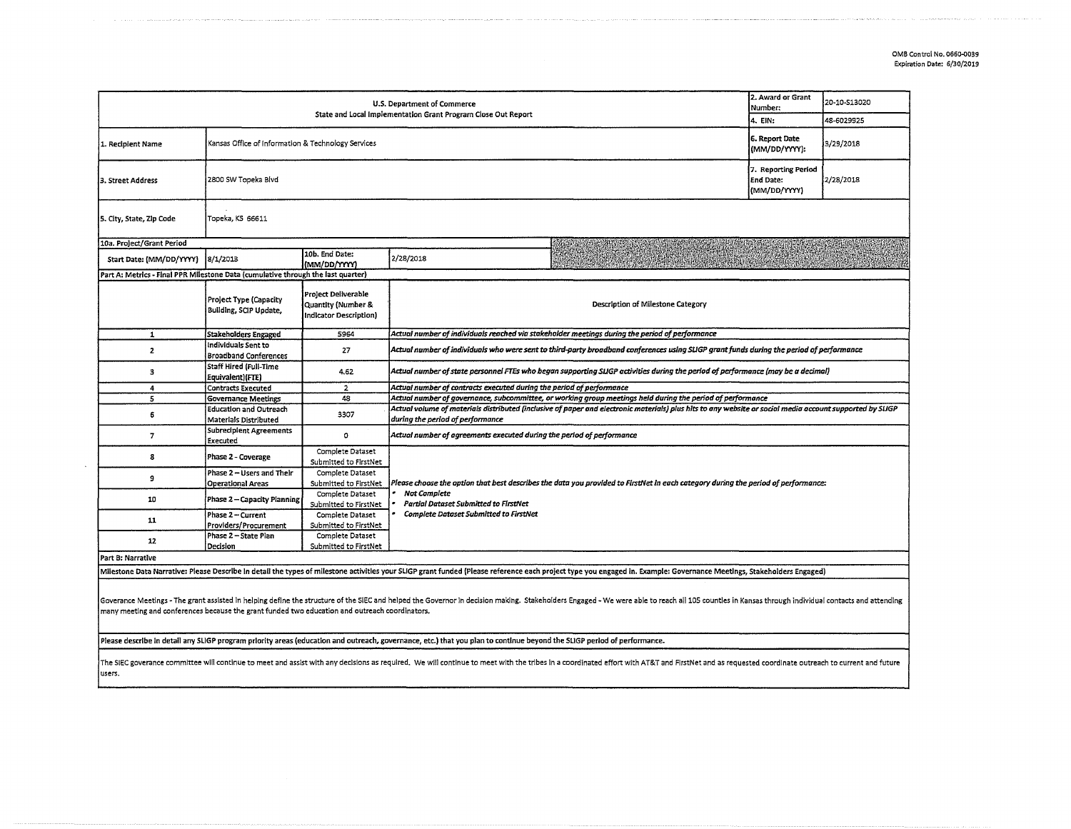|                                                                                                                                                                                                                                                                                                                                  | 2. Award or Grant<br>Number:                                                         | 20-10-S13020                                                        |                                                                                                                                                                                                                                                           |         |            |  |  |  |  |
|----------------------------------------------------------------------------------------------------------------------------------------------------------------------------------------------------------------------------------------------------------------------------------------------------------------------------------|--------------------------------------------------------------------------------------|---------------------------------------------------------------------|-----------------------------------------------------------------------------------------------------------------------------------------------------------------------------------------------------------------------------------------------------------|---------|------------|--|--|--|--|
|                                                                                                                                                                                                                                                                                                                                  |                                                                                      |                                                                     |                                                                                                                                                                                                                                                           | 4. EIN: | 48-6029925 |  |  |  |  |
| 1. Recipient Name                                                                                                                                                                                                                                                                                                                | Kansas Office of Information & Technology Services                                   |                                                                     | 6. Report Date<br>3/29/2018<br>(MM/DD/YYYY):                                                                                                                                                                                                              |         |            |  |  |  |  |
| 3. Street Address                                                                                                                                                                                                                                                                                                                | 7. Reporting Period<br>2/28/2018<br>2800 SW Topeka Blvd<br>End Date:<br>(MM/DD/YYYY) |                                                                     |                                                                                                                                                                                                                                                           |         |            |  |  |  |  |
| 5. City, State, Zip Code                                                                                                                                                                                                                                                                                                         | Topeka, KS 66611                                                                     |                                                                     |                                                                                                                                                                                                                                                           |         |            |  |  |  |  |
| 10a. Project/Grant Period                                                                                                                                                                                                                                                                                                        |                                                                                      |                                                                     |                                                                                                                                                                                                                                                           |         |            |  |  |  |  |
| Start Date: (MM/DD/YYYY)                                                                                                                                                                                                                                                                                                         | 8/1/2013                                                                             | 10b. End Date:<br>(MM/DD/YYYY)                                      | 2/28/2018                                                                                                                                                                                                                                                 |         |            |  |  |  |  |
| Part A: Metrics - Final PPR Milestone Data (cumulative through the last quarter)                                                                                                                                                                                                                                                 |                                                                                      |                                                                     |                                                                                                                                                                                                                                                           |         |            |  |  |  |  |
|                                                                                                                                                                                                                                                                                                                                  | <b>Project Type (Capacity</b><br>Building, SCIP Update,                              | Project Deliverable<br>Quantity (Number &<br>Indicator Description) | Description of Milestone Category                                                                                                                                                                                                                         |         |            |  |  |  |  |
| $\mathbf{1}$                                                                                                                                                                                                                                                                                                                     | <b>Stakeholders Engaged</b>                                                          | 5964                                                                | Actual number of individuals reached via stakeholder meetings during the period of performance                                                                                                                                                            |         |            |  |  |  |  |
| $\overline{2}$                                                                                                                                                                                                                                                                                                                   | individuals Sent to<br><b>Broadband Conferences</b>                                  | 27                                                                  | Actual number of individuals who were sent to third-party broadband conferences using SUGP grant funds during the period of performance                                                                                                                   |         |            |  |  |  |  |
| з                                                                                                                                                                                                                                                                                                                                | <b>Staff Hired (Full-Time</b><br>Equivalent)(FTE)                                    | 4.62                                                                | Actual number of state personnel FTEs who began supporting SLIGP activities during the period of performance (may be a decimal)                                                                                                                           |         |            |  |  |  |  |
| $\ddot{a}$                                                                                                                                                                                                                                                                                                                       | <b>Contracts Executed</b>                                                            | $\overline{2}$                                                      | Actual number of contracts executed during the period of performance                                                                                                                                                                                      |         |            |  |  |  |  |
| 5                                                                                                                                                                                                                                                                                                                                | <b>Governance Meetings</b>                                                           | 48                                                                  | Actual number of governance, subcommittee, or working group meetings held during the period of performance                                                                                                                                                |         |            |  |  |  |  |
| 6                                                                                                                                                                                                                                                                                                                                | <b>Education and Outreach</b><br>Materials Distributed                               | 3307                                                                | Actual volume of materials distributed (inclusive of paper and electronic materials) plus hits to any website or social media account supported by SLIGP<br>during the period of performance                                                              |         |            |  |  |  |  |
| $\overline{7}$                                                                                                                                                                                                                                                                                                                   | <b>Subrecipient Agreements</b><br>Executed                                           | 0                                                                   | Actual number of agreements executed during the period of performance                                                                                                                                                                                     |         |            |  |  |  |  |
| 8                                                                                                                                                                                                                                                                                                                                | Phase 2 - Coverage                                                                   | Complete Dataset<br>Submitted to FirstNet                           |                                                                                                                                                                                                                                                           |         |            |  |  |  |  |
| 9                                                                                                                                                                                                                                                                                                                                | Phase 2 - Users and Their<br><b>Operational Areas</b>                                | Complete Dataset<br>Submitted to FirstNet                           | Please choose the option that best describes the data you provided to FirstNet in each category during the period of performance:<br><b>Not Complete</b><br><b>Partial Dataset Submitted to FirstNet</b><br><b>Complete Dataset Submitted to FirstNet</b> |         |            |  |  |  |  |
| 10                                                                                                                                                                                                                                                                                                                               | Phase 2 - Capacity Planning                                                          | Complete Dataset<br>Submitted to FirstNet                           |                                                                                                                                                                                                                                                           |         |            |  |  |  |  |
| 11                                                                                                                                                                                                                                                                                                                               | Phase 2 - Current<br>Providers/Procurement                                           | Complete Dataset<br>Submitted to FirstNet                           |                                                                                                                                                                                                                                                           |         |            |  |  |  |  |
| 12                                                                                                                                                                                                                                                                                                                               | Phase 2 - State Plan<br>Decision                                                     | Complete Dataset<br>Submitted to FirstNet                           |                                                                                                                                                                                                                                                           |         |            |  |  |  |  |
| Part B: Narrative                                                                                                                                                                                                                                                                                                                |                                                                                      |                                                                     |                                                                                                                                                                                                                                                           |         |            |  |  |  |  |
| Milestone Data Narrative: Please Describe in detail the types of milestone activities your SLIGP grant funded (Please reference each project type you engaged in. Example: Governance Meetings, Stakeholders Engaged)                                                                                                            |                                                                                      |                                                                     |                                                                                                                                                                                                                                                           |         |            |  |  |  |  |
| Goverance Meetings - The grant assisted in helping define the structure of the SIEC and helped the Governor in decision making. Stakeholders Engaged - We were able to reach all 105 countles in Kansas through individual con<br>many meeting and conferences because the grant funded two education and outreach coordinators. |                                                                                      |                                                                     |                                                                                                                                                                                                                                                           |         |            |  |  |  |  |

Please describe In detail any SLIGP program priority areas (education and outreach, governance, etc.) that you plan to continue beyond the SLIGP period of performance.

The SIEC goverance committee will continue to meet and assist with any decisions as required. We will continue to meet with the tribes in a coordinated effort with AT&T and FirstNet and as requested coordinate outreach to **users.**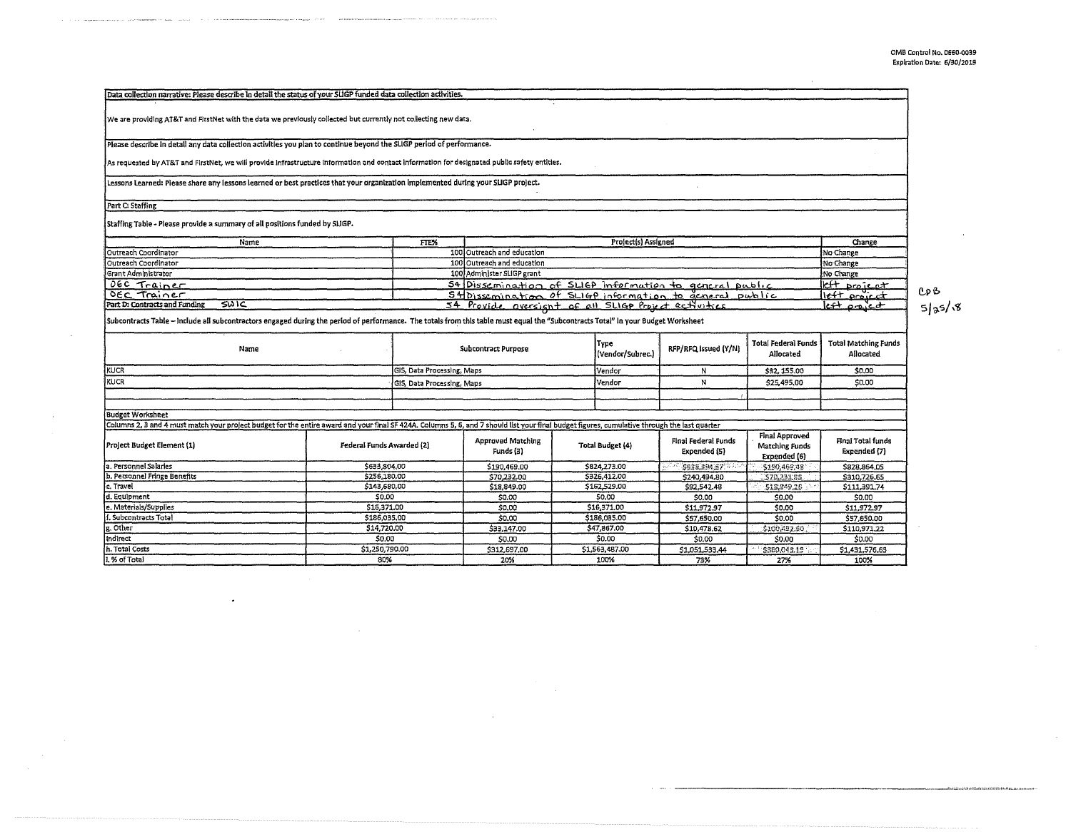$\bar{\alpha}$ 

--------------------------~· =·· ... ···••w ........... "··• ................. .

| Data collection narrative: Please describe in detail the status of your SLIGP funded data collection activities.                                                                              |                                                         |                            |                                                         |              |                          |                                     |                                                         |                                          |  |  |
|-----------------------------------------------------------------------------------------------------------------------------------------------------------------------------------------------|---------------------------------------------------------|----------------------------|---------------------------------------------------------|--------------|--------------------------|-------------------------------------|---------------------------------------------------------|------------------------------------------|--|--|
| We are providing AT&T and FirstNet with the data we previously collected but currently not collecting new data.                                                                               |                                                         |                            |                                                         |              |                          |                                     |                                                         |                                          |  |  |
| Please describe in detail any data collection activities you plan to continue beyond the SLIGP period of performance.                                                                         |                                                         |                            |                                                         |              |                          |                                     |                                                         |                                          |  |  |
| As requested by AT&T and FirstNet, we will provide infrastructure information and contact information for designated public safety entities.                                                  |                                                         |                            |                                                         |              |                          |                                     |                                                         |                                          |  |  |
| Lessons Learned: Please share any lessons learned or best practices that your organization implemented during your SLIGP project.                                                             |                                                         |                            |                                                         |              |                          |                                     |                                                         |                                          |  |  |
| Part C: Staffing                                                                                                                                                                              |                                                         |                            |                                                         |              |                          |                                     |                                                         |                                          |  |  |
| Staffing Table - Please provide a summary of all positions funded by SLIGP.                                                                                                                   |                                                         |                            |                                                         |              |                          |                                     |                                                         |                                          |  |  |
| Name                                                                                                                                                                                          |                                                         | FTE%                       | Project(s) Assigned                                     |              |                          |                                     |                                                         | Change                                   |  |  |
| Outreach Coordinator                                                                                                                                                                          |                                                         |                            | 100 Outreach and education                              |              |                          |                                     |                                                         | No Change                                |  |  |
| Outreach Coordinator                                                                                                                                                                          |                                                         |                            | 100 Outreach and education                              |              |                          |                                     |                                                         | No Change                                |  |  |
| Grant Administrator                                                                                                                                                                           |                                                         |                            | 100 Administer SLIGP grant                              |              |                          |                                     |                                                         | No Change                                |  |  |
| OEC Trainer                                                                                                                                                                                   |                                                         |                            | 54 Dissemination of SLIGP information to general public |              |                          |                                     |                                                         | left project                             |  |  |
| OEC Trainer                                                                                                                                                                                   | Stidissemination of SLIGP information to acnoral public |                            |                                                         |              |                          |                                     | left project                                            | CP B                                     |  |  |
| عسقة<br>Part D: Contracts and Funding                                                                                                                                                         | 54 Provide oversignt of all SLIGP Project ectivities    |                            |                                                         |              |                          |                                     | <u>lett omied</u>                                       | 5 35 8                                   |  |  |
| Subcontracts Table - Include all subcontractors engaged during the period of performance. The totals from this table must equal the "Subcontracts Total" in your Budget Worksheet<br>Name     |                                                         |                            | <b>Subcontract Purpose</b>                              |              | Түре<br>(Vendor/Subrec.) | RFP/RFQ Issued (Y/N)                | <b>Total Federal Funds</b><br>Allocated                 | <b>Total Matching Funds</b><br>Allocated |  |  |
| <b>KUCR</b>                                                                                                                                                                                   |                                                         | GIS, Data Processing, Maps |                                                         |              | Vendor                   | N                                   | \$32,155.00                                             | \$0.00                                   |  |  |
| KUCR                                                                                                                                                                                          |                                                         |                            | GIS, Data Processing, Maps                              |              | Vendor                   | N                                   | \$25,495,00                                             | \$0.00                                   |  |  |
|                                                                                                                                                                                               |                                                         |                            |                                                         |              |                          |                                     |                                                         |                                          |  |  |
| <b>Budget Worksheet</b>                                                                                                                                                                       |                                                         |                            |                                                         |              |                          |                                     |                                                         |                                          |  |  |
| Columns 2, 3 and 4 must match your project budget for the entire award and your final SF 424A. Columns 5, 6, and 7 should list your final budget figures, cumulative through the last quarter |                                                         |                            |                                                         |              |                          |                                     |                                                         |                                          |  |  |
| Project Budget Element (1)                                                                                                                                                                    | Federal Funds Awarded (2)                               |                            | Approved Matching<br>Funds (3)                          |              | Total Budget (4)         | Final Federal Funds<br>Expended (5) | <b>Final Approved</b><br>Matching Funds<br>Expended [6] | Final Total funds<br>Expended (7)        |  |  |
| a. Personnel Salaries                                                                                                                                                                         | \$633,804,00                                            |                            | \$190,469.00                                            |              | \$824,273.00             | \$938,394.57                        | \$150,469,48                                            | \$828,864.05                             |  |  |
| <b>b. Personnel Fringe Benefits</b>                                                                                                                                                           | \$256,180.00                                            |                            | \$70,232.00                                             |              | \$326,412.00             | \$240,494.80                        | \$70,231,85                                             | \$310,726,65                             |  |  |
| c. Travel                                                                                                                                                                                     | \$143,680,00                                            |                            | \$18,849.00                                             |              | \$162,529.00             | \$92,542.48                         | \$18,849.25                                             | \$111,391.74                             |  |  |
| d. Equipment                                                                                                                                                                                  |                                                         | \$0.00                     |                                                         |              | \$0.00                   | \$0.00                              | \$0,00                                                  | \$0.00                                   |  |  |
| e. Materials/Supplies                                                                                                                                                                         |                                                         | \$16,371.00                |                                                         | \$16,371.00  |                          | \$11,972.97                         | \$0.00                                                  | \$11,972.97                              |  |  |
| . Subcontracts Total                                                                                                                                                                          | \$186,035.00                                            |                            | \$0,00                                                  | \$186,035.00 |                          | \$57,650.00                         | \$0.00                                                  | \$57,650.00                              |  |  |
| z. Other                                                                                                                                                                                      | \$14,720.00                                             |                            | \$33,147.00                                             | \$47,867.00  |                          | \$10,478,62                         | \$100,492.60                                            | \$110,971.22                             |  |  |
| <b>Indirect</b>                                                                                                                                                                               | 50,00                                                   |                            | \$0.00                                                  | \$0.00       |                          | \$0.00                              | \$0.00                                                  | S0.00                                    |  |  |
| h. Total Costs                                                                                                                                                                                | \$1,250,790.00                                          |                            | \$312,697.00                                            |              | \$1,563,487,00           | \$1,051,533,44                      | \$380,045.19                                            | \$1,431,576.63                           |  |  |
| . % of Total                                                                                                                                                                                  | 80%                                                     |                            | 20%                                                     |              | 100%                     | 73%                                 | 27%                                                     | 100%                                     |  |  |

. . . . . . . .